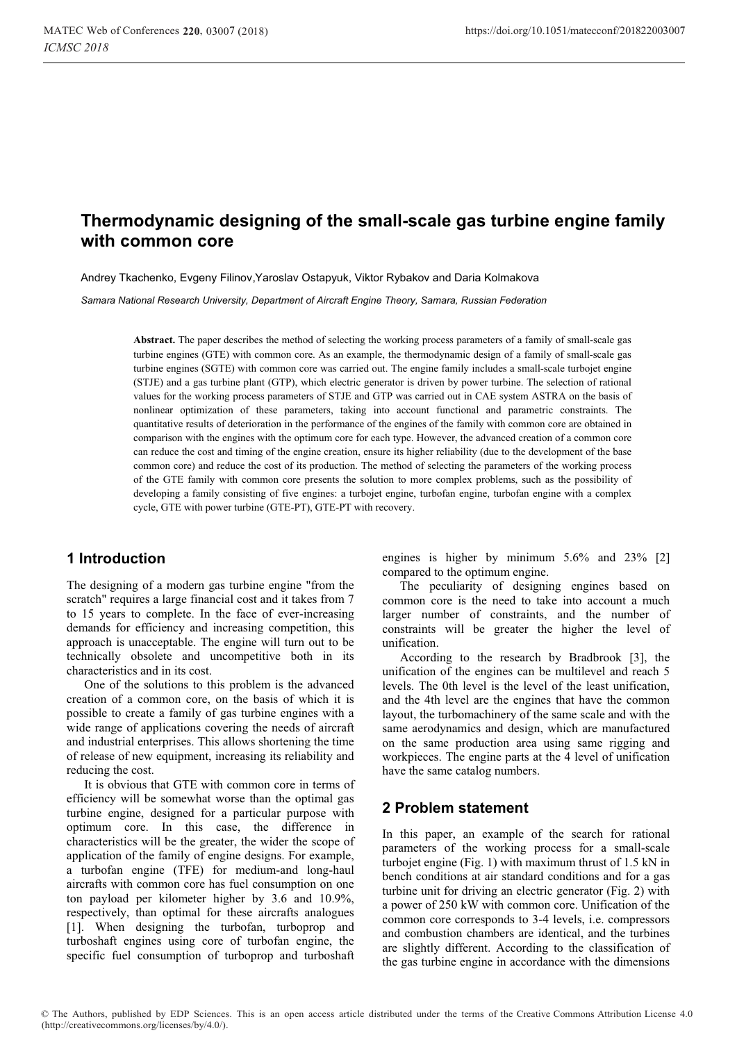# **Thermodynamic designing of the small-scale gas turbine engine family with common core**

Andrey Tkachenko, Evgeny Filinov,Yaroslav Ostapyuk, Viktor Rybakov and Daria Kolmakova

*Samara National Research University, Department of Aircraft Engine Theory, Samara, Russian Federation* 

**Abstract.** The paper describes the method of selecting the working process parameters of a family of small-scale gas turbine engines (GTE) with common core. As an example, the thermodynamic design of a family of small-scale gas turbine engines (SGTE) with common core was carried out. The engine family includes a small-scale turbojet engine (STJE) and a gas turbine plant (GTP), which electric generator is driven by power turbine. The selection of rational values for the working process parameters of STJE and GTP was carried out in CAE system ASTRA on the basis of nonlinear optimization of these parameters, taking into account functional and parametric constraints. The quantitative results of deterioration in the performance of the engines of the family with common core are obtained in comparison with the engines with the optimum core for each type. However, the advanced creation of a common core can reduce the cost and timing of the engine creation, ensure its higher reliability (due to the development of the base common core) and reduce the cost of its production. The method of selecting the parameters of the working process of the GTE family with common core presents the solution to more complex problems, such as the possibility of developing a family consisting of five engines: a turbojet engine, turbofan engine, turbofan engine with a complex cycle, GTE with power turbine (GTE-PT), GTE-PT with recovery.

#### **1 Introduction**

The designing of a modern gas turbine engine "from the scratch" requires a large financial cost and it takes from 7 to 15 years to complete. In the face of ever-increasing demands for efficiency and increasing competition, this approach is unacceptable. The engine will turn out to be technically obsolete and uncompetitive both in its characteristics and in its cost.

One of the solutions to this problem is the advanced creation of a common core, on the basis of which it is possible to create a family of gas turbine engines with a wide range of applications covering the needs of aircraft and industrial enterprises. This allows shortening the time of release of new equipment, increasing its reliability and reducing the cost.

It is obvious that GTE with common core in terms of efficiency will be somewhat worse than the optimal gas turbine engine, designed for a particular purpose with optimum core. In this case, the difference in characteristics will be the greater, the wider the scope of application of the family of engine designs. For example, a turbofan engine (TFE) for medium-and long-haul aircrafts with common core has fuel consumption on one ton payload per kilometer higher by 3.6 and 10.9%, respectively, than optimal for these aircrafts analogues [1]. When designing the turbofan, turboprop and turboshaft engines using core of turbofan engine, the specific fuel consumption of turboprop and turboshaft engines is higher by minimum 5.6% and 23% [2] compared to the optimum engine.

The peculiarity of designing engines based on common core is the need to take into account a much larger number of constraints, and the number of constraints will be greater the higher the level of unification.

According to the research by Bradbrook [3], the unification of the engines can be multilevel and reach 5 levels. The 0th level is the level of the least unification, and the 4th level are the engines that have the common layout, the turbomachinery of the same scale and with the same aerodynamics and design, which are manufactured on the same production area using same rigging and workpieces. The engine parts at the 4 level of unification have the same catalog numbers.

#### **2 Problem statement**

In this paper, an example of the search for rational parameters of the working process for a small-scale turbojet engine (Fig. 1) with maximum thrust of 1.5 kN in bench conditions at air standard conditions and for a gas turbine unit for driving an electric generator (Fig. 2) with a power of 250 kW with common core. Unification of the common core corresponds to 3-4 levels, i.e. compressors and combustion chambers are identical, and the turbines are slightly different. According to the classification of the gas turbine engine in accordance with the dimensions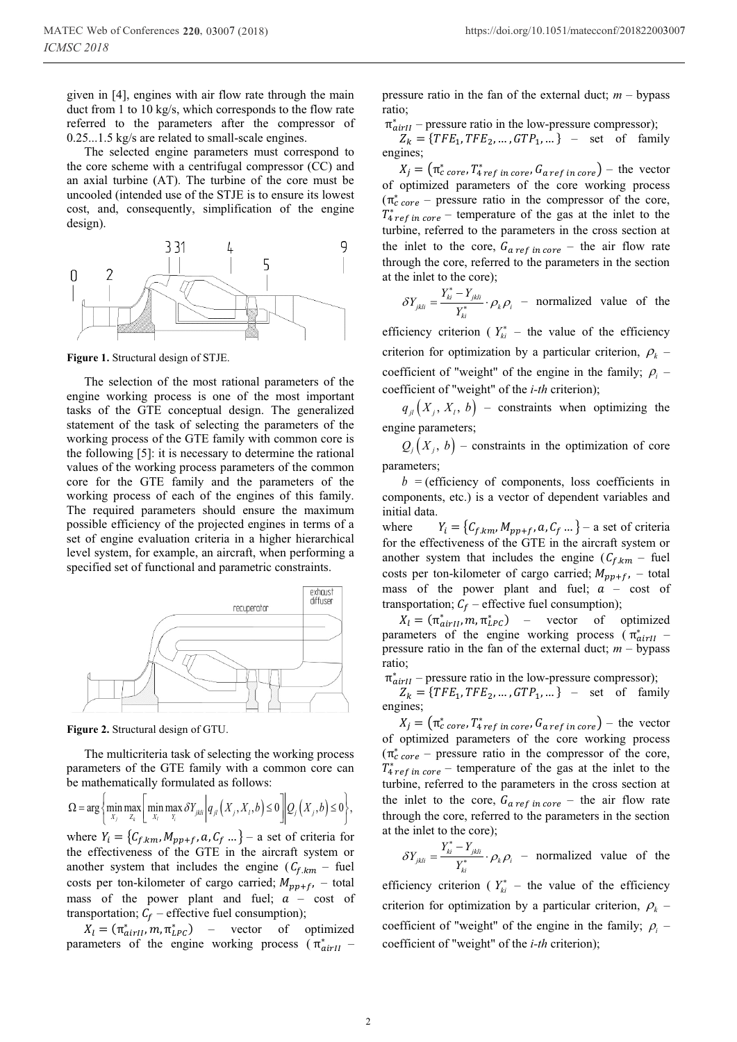given in [4], engines with air flow rate through the main duct from 1 to 10 kg/s, which corresponds to the flow rate referred to the parameters after the compressor of 0.25...1.5 kg/s are related to small-scale engines.

The selected engine parameters must correspond to the core scheme with a centrifugal compressor (CC) and an axial turbine (AT). The turbine of the core must be uncooled (intended use of the STJE is to ensure its lowest cost, and, consequently, simplification of the engine design).



**Figure 1.** Structural design of STJE.

The selection of the most rational parameters of the engine working process is one of the most important tasks of the GTE conceptual design. The generalized statement of the task of selecting the parameters of the working process of the GTE family with common core is the following [5]: it is necessary to determine the rational values of the working process parameters of the common core for the GTE family and the parameters of the working process of each of the engines of this family. The required parameters should ensure the maximum possible efficiency of the projected engines in terms of a set of engine evaluation criteria in a higher hierarchical level system, for example, an aircraft, when performing a specified set of functional and parametric constraints.



**Figure 2.** Structural design of GTU.

The multicriteria task of selecting the working process parameters of the GTE family with a common core can be mathematically formulated as follows:

$$
\Omega = \arg \left\{ \min_{X_j} \max_{Z_k} \left[ \min_{X_l} \max_{Y_l} \delta Y_{jkl} \middle| q_{jl} \left( X_j, X_l, b \right) \le 0 \right] \middle| Q_j \left( X_j, b \right) \le 0 \right\},\right\}
$$

where  $Y_i = \{C_{f,km}, M_{pp+f}, a, C_f \dots \}$  – a set of criteria for the effectiveness of the GTE in the aircraft system or another system that includes the engine  $(C_{f.km} - \text{fuel})$ costs per ton-kilometer of cargo carried;  $M_{pp+f}$ , – total mass of the power plant and fuel;  $a - \text{cost}$  of transportation;  $C_f$  – effective fuel consumption);

 $X_l = (\pi^*_{air1l}, m, \pi^*_{LPC})$  – vector of optimized parameters of the engine working process  $(\pi^*_{airII} -$ 

pressure ratio in the fan of the external duct; *m* – bypass ratio;

 $\pi_{airII}^*$  – pressure ratio in the low-pressure compressor);

 $Z_k = \{TFE_1, TFE_2, ..., GTP_1, ...\}$  – set of family engines;

 $X_i = (\pi_{c \, core}^*, T_{4 \, ref \, in \, core}^*, G_{a \, ref \, in \, core})$  – the vector of optimized parameters of the core working process  $({\pi_c}^*_{core}$  – pressure ratio in the compressor of the core,  $T_{4,ref}^{*}$  in core – temperature of the gas at the inlet to the turbine, referred to the parameters in the cross section at the inlet to the core,  $G_{\alpha \, ref \, in \, core}$  – the air flow rate through the core, referred to the parameters in the section at the inlet to the core);

$$
\delta Y_{jkli} = \frac{Y_{ki}^* - Y_{jkli}}{Y_{ki}^*} \cdot \rho_k \rho_i
$$
 - normalized value of the

efficiency criterion ( $Y_{ki}^*$  – the value of the efficiency criterion for optimization by a particular criterion,  $\rho_k$  – coefficient of "weight" of the engine in the family;  $\rho_i$  – coefficient of "weight" of the *i-th* criterion);

 $q_{il}(X_i, X_i, b)$  – constraints when optimizing the engine parameters;

 $Q_i(X_i, b)$  – constraints in the optimization of core parameters;

 $b =$  (efficiency of components, loss coefficients in components, etc.) is a vector of dependent variables and initial data.

where  $X_i = \{C_{f,km}, M_{pp+f}, a, C_f \dots \}$  – a set of criteria for the effectiveness of the GTE in the aircraft system or another system that includes the engine  $(C_{f,km}$  – fuel costs per ton-kilometer of cargo carried;  $M_{pp+f}$ , – total mass of the power plant and fuel;  $a - \text{cost}$  of transportation;  $C_f$  – effective fuel consumption);

 $X_l = (\pi^*_{airII}, m, \pi^*_{LPC})$  – vector of optimized parameters of the engine working process  $(\pi^*_{airII}$ pressure ratio in the fan of the external duct; *m* – bypass ratio;

 $\pi_{airII}^*$  – pressure ratio in the low-pressure compressor);

 $Z_k = \{TFE_1, TFE_2, ..., GTP_1, ...\}$  – set of family engines;

 $X_j = (\pi_{c \; core}^*, T_{4 \; ref \; in \; core}^*, G_{a \; ref \; in \; core})$  – the vector of optimized parameters of the core working process  $(\pi_{c,core}^{*}$  – pressure ratio in the compressor of the core,  $T_{4,ref in core}^{*}$  – temperature of the gas at the inlet to the turbine, referred to the parameters in the cross section at the inlet to the core,  $G_{\alpha \, ref \, in \, core}$  – the air flow rate through the core, referred to the parameters in the section at the inlet to the core);

$$
\delta Y_{jkli} = \frac{Y_{ki}^* - Y_{jkli}}{Y_{ki}^*} \cdot \rho_k \rho_i
$$
 - normalized value of the

efficiency criterion ( $Y_{ki}^*$  – the value of the efficiency criterion for optimization by a particular criterion,  $\rho_k$  – coefficient of "weight" of the engine in the family;  $\rho_i$  – coefficient of "weight" of the *i-th* criterion);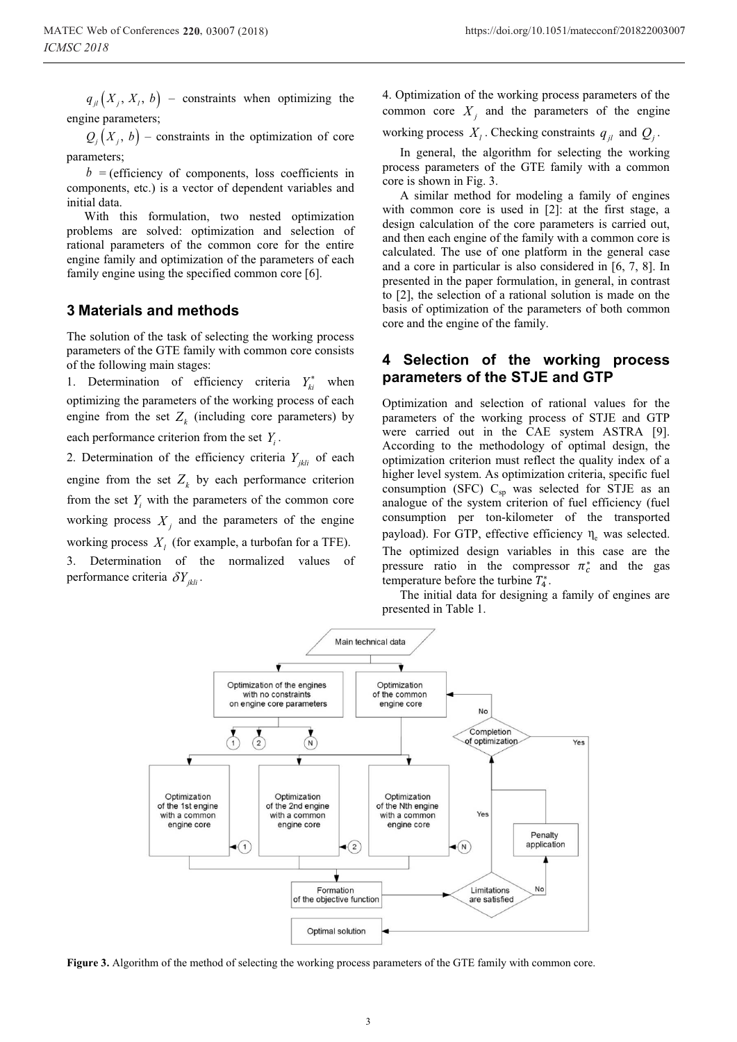$q_{il}(X_i, X_i, b)$  – constraints when optimizing the engine parameters;

 $Q_i(X_i, b)$  – constraints in the optimization of core parameters;

 $b =$  (efficiency of components, loss coefficients in components, etc.) is a vector of dependent variables and initial data.

With this formulation, two nested optimization problems are solved: optimization and selection of rational parameters of the common core for the entire engine family and optimization of the parameters of each family engine using the specified common core [6].

#### **3 Materials and methods**

The solution of the task of selecting the working process parameters of the GTE family with common core consists of the following main stages:

1. Determination of efficiency criteria  $Y_{ki}^*$  when optimizing the parameters of the working process of each engine from the set  $Z_k$  (including core parameters) by each performance criterion from the set  $Y_i$ .

2. Determination of the efficiency criteria  $Y_{ikl}$  of each engine from the set  $Z_k$  by each performance criterion from the set  $Y_i$  with the parameters of the common core working process  $X_i$  and the parameters of the engine working process  $X_l$  (for example, a turbofan for a TFE). 3. Determination of the normalized values of performance criteria  $\delta Y_{ikli}$ .

4. Optimization of the working process parameters of the common core  $X_i$  and the parameters of the engine

working process  $X_i$ . Checking constraints  $q_{ij}$  and  $Q_i$ .

In general, the algorithm for selecting the working process parameters of the GTE family with a common core is shown in Fig. 3.

A similar method for modeling a family of engines with common core is used in [2]: at the first stage, a design calculation of the core parameters is carried out, and then each engine of the family with a common core is calculated. The use of one platform in the general case and a core in particular is also considered in [6, 7, 8]. In presented in the paper formulation, in general, in contrast to [2], the selection of a rational solution is made on the basis of optimization of the parameters of both common core and the engine of the family.

#### **4 Selection of the working process parameters of the STJE and GTP**

Optimization and selection of rational values for the parameters of the working process of STJE and GTP were carried out in the CAE system ASTRA [9]. According to the methodology of optimal design, the optimization criterion must reflect the quality index of a higher level system. As optimization criteria, specific fuel consumption (SFC)  $C_{sp}$  was selected for STJE as an analogue of the system criterion of fuel efficiency (fuel consumption per ton-kilometer of the transported payload). For GTP, effective efficiency  $\eta_e$  was selected. The optimized design variables in this case are the pressure ratio in the compressor  $\pi_c^*$  and the gas temperature before the turbine  $T_4^*$ .

The initial data for designing a family of engines are presented in Table 1.



**Figure 3.** Algorithm of the method of selecting the working process parameters of the GTE family with common core.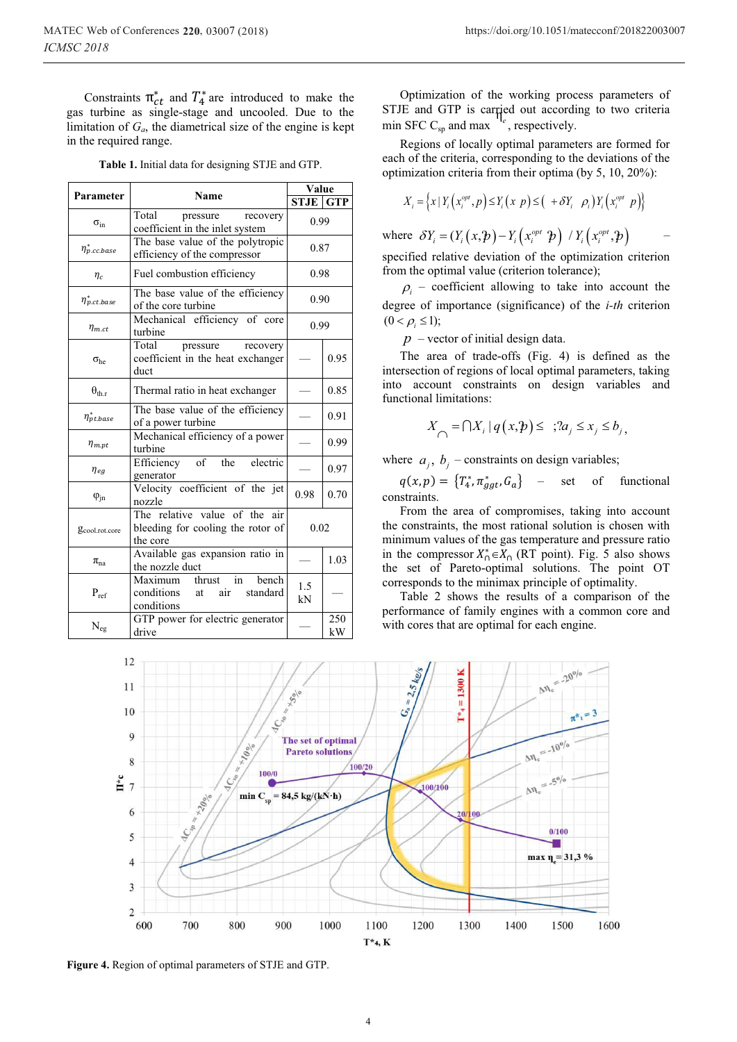|  |  | Table 1. Initial data for designing STJE and GTP. |  |  |
|--|--|---------------------------------------------------|--|--|
|  |  |                                                   |  |  |

| Parameter                  |                                                                                    | Value           |           |
|----------------------------|------------------------------------------------------------------------------------|-----------------|-----------|
| Name                       |                                                                                    | <b>STJE</b> GTP |           |
| $\sigma_{\rm in}$          | Total<br>pressure<br>recovery<br>coefficient in the inlet system                   | 0.99            |           |
| $\eta_{p.cc.base}^*$       | The base value of the polytropic<br>efficiency of the compressor                   | 0.87            |           |
| $\eta_c$                   | Fuel combustion efficiency                                                         | 0.98            |           |
| $\eta_{p.ct.base}^*$       | The base value of the efficiency<br>of the core turbine                            | 0.90            |           |
| $\eta_{m,ct}$              | Mechanical efficiency of core<br>turbine                                           | 0.99            |           |
| $\sigma_{he}$              | Total<br>pressure<br>recovery<br>coefficient in the heat exchanger<br>duct         |                 | 0.95      |
| $\theta_{th.r}$            | Thermal ratio in heat exchanger                                                    |                 | 0.85      |
| $\eta _{pt,base}^*$        | The base value of the efficiency<br>of a power turbine                             |                 | 0.91      |
| $\eta_{m,pt}$              | Mechanical efficiency of a power<br>turbine                                        |                 | 0.99      |
| $\eta_{eg}$                | of the electric<br>Efficiency<br>generator                                         |                 | 0.97      |
| $\varphi$ <sub>in</sub>    | Velocity coefficient of the jet<br>nozzle                                          | 0.98            | 0.70      |
| g <sub>cool.rot.core</sub> | The relative value of the air<br>bleeding for cooling the rotor of<br>the core     | 0.02            |           |
| $\pi_{na}$                 | Available gas expansion ratio in<br>the nozzle duct                                |                 | 1.03      |
| $P_{ref}$                  | in<br>bench<br>Maximum<br>thrust<br>conditions<br>standard<br>at air<br>conditions | 1.5<br>kN       |           |
| $N_{eg}$                   | GTP power for electric generator<br>drive                                          |                 | 250<br>kW |

Optimization of the working process parameters of STJE and GTP is carried out according to two criteria min SFC  $C_{sp}$  and max  $\cdot e^e$ , respectively. -*-*

Regions of locally optimal parameters are formed for each of the criteria, corresponding to the deviations of the optimization criteria from their optima (by 5, 10, 20%):

$$
X_i = \left\{ x \mid Y_i\left(x_i^{opt}, p\right) \leq Y_i\left(x \mid p\right) \leq \left(1 + \delta Y_i \mid \rho_i\right) Y_i\left(x_i^{opt} \mid p\right) \right\}
$$

where  $\delta Y_i = (Y_i(x, p) - Y_i(x_i^{opt} p) / Y_i(x_i^{opt}, p)$  specified relative deviation of the optimization criterion

from the optimal value (criterion tolerance);  $\rho_i$  – coefficient allowing to take into account the degree of importance (significance) of the *i-th* criterion  $(0 < \rho_{i} \leq 1);$ 

 $p$  – vector of initial design data.

The area of trade-offs (Fig. 4) is defined as the intersection of regions of local optimal parameters, taking into account constraints on design variables and functional limitations:

$$
X_{\bigcap} = \bigcap X_i \mid q(x, p) \leq \quad \therefore a_j \leq x_j \leq b_j,
$$

where  $a_i$ ,  $b_i$  – constraints on design variables;

 $q(x, p) = \{T_4^*, \pi_{aat}^*, G_a\}$  – set of functional constraints.

From the area of compromises, taking into account the constraints, the most rational solution is chosen with minimum values of the gas temperature and pressure ratio in the compressor  $X_{\Omega}^* \in X_{\Omega}$  (RT point). Fig. 5 also shows the set of Pareto-optimal solutions. The point OT corresponds to the minimax principle of optimality.

Table 2 shows the results of a comparison of the performance of family engines with a common core and with cores that are optimal for each engine.



**Figure 4.** Region of optimal parameters of STJE and GTP.